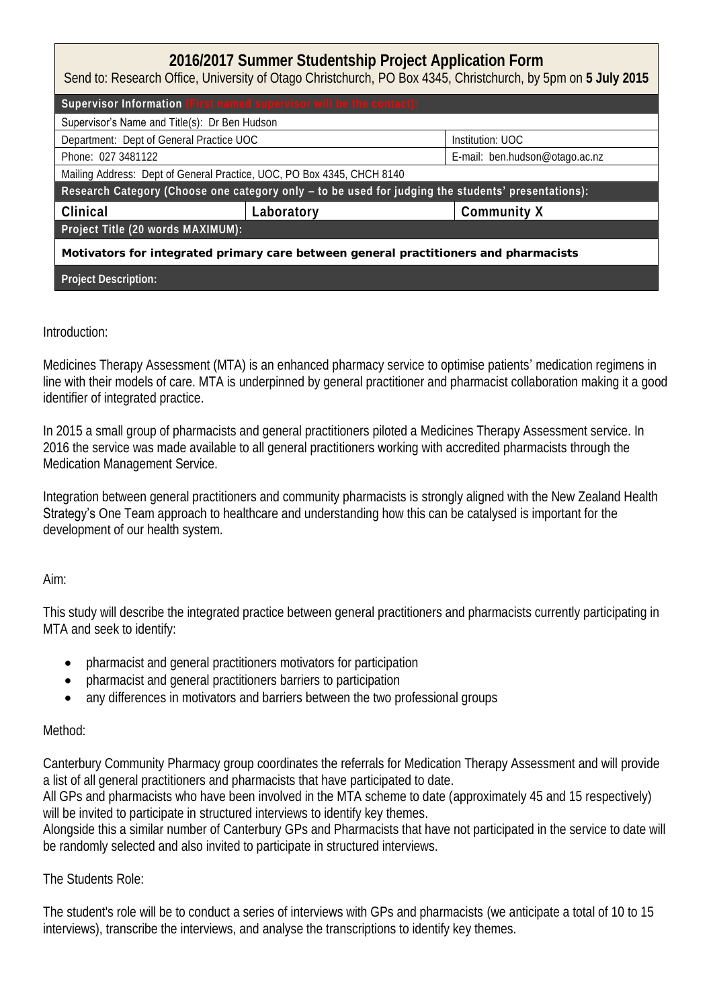| 2016/2017 Summer Studentship Project Application Form<br>Send to: Research Office, University of Otago Christchurch, PO Box 4345, Christchurch, by 5pm on 5 July 2015 |            |                                |  |  |
|-----------------------------------------------------------------------------------------------------------------------------------------------------------------------|------------|--------------------------------|--|--|
| Supervisor Information (First named supervisor will be the contact):                                                                                                  |            |                                |  |  |
| Supervisor's Name and Title(s): Dr Ben Hudson                                                                                                                         |            |                                |  |  |
| Department: Dept of General Practice UOC                                                                                                                              |            | Institution: UOC               |  |  |
| Phone: 027 3481122                                                                                                                                                    |            | E-mail: ben.hudson@otago.ac.nz |  |  |
| Mailing Address: Dept of General Practice, UOC, PO Box 4345, CHCH 8140                                                                                                |            |                                |  |  |
| Research Category (Choose one category only - to be used for judging the students' presentations):                                                                    |            |                                |  |  |
| Clinical                                                                                                                                                              | Laboratory | Community X                    |  |  |
| Project Title (20 words MAXIMUM):                                                                                                                                     |            |                                |  |  |
| Motivators for integrated primary care between general practitioners and pharmacists                                                                                  |            |                                |  |  |
| Project Description:                                                                                                                                                  |            |                                |  |  |

## Introduction:

Medicines Therapy Assessment (MTA) is an enhanced pharmacy service to optimise patients' medication regimens in line with their models of care. MTA is underpinned by general practitioner and pharmacist collaboration making it a good identifier of integrated practice.

In 2015 a small group of pharmacists and general practitioners piloted a Medicines Therapy Assessment service. In 2016 the service was made available to all general practitioners working with accredited pharmacists through the Medication Management Service.

Integration between general practitioners and community pharmacists is strongly aligned with the New Zealand Health Strategy's One Team approach to healthcare and understanding how this can be catalysed is important for the development of our health system.

Aim:

This study will describe the integrated practice between general practitioners and pharmacists currently participating in MTA and seek to identify:

- pharmacist and general practitioners motivators for participation
- pharmacist and general practitioners barriers to participation
- any differences in motivators and barriers between the two professional groups

## Method:

Canterbury Community Pharmacy group coordinates the referrals for Medication Therapy Assessment and will provide a list of all general practitioners and pharmacists that have participated to date.

All GPs and pharmacists who have been involved in the MTA scheme to date (approximately 45 and 15 respectively) will be invited to participate in structured interviews to identify key themes.

Alongside this a similar number of Canterbury GPs and Pharmacists that have not participated in the service to date will be randomly selected and also invited to participate in structured interviews.

The Students Role:

The student's role will be to conduct a series of interviews with GPs and pharmacists (we anticipate a total of 10 to 15 interviews), transcribe the interviews, and analyse the transcriptions to identify key themes.